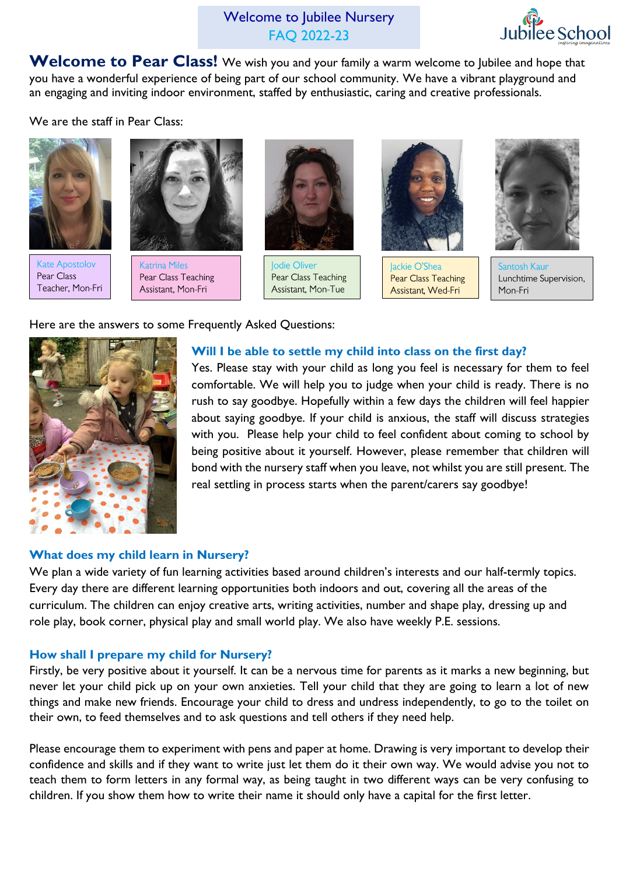Welcome to Jubilee Nursery FAQ 2022-23



**Welcome to Pear Class!** We wish you and your family a warm welcome to Jubilee and hope that you have a wonderful experience of being part of our school community. We have a vibrant playground and an engaging and inviting indoor environment, staffed by enthusiastic, caring and creative professionals.

We are the staff in Pear Class:



**Kate Apostolov** Pear Class Teacher, Mon-Fri



**Katrina Miles** Pear Class Teaching Assistant, Mon-Fri



Jodie Oliver Pear Class Teaching Assistant, Mon-Tue



lackie O'Shea Pear Class Teaching Assistant, Wed-Fri



Santosh Kaur Lunchtime Supervision, Mon-Fri

Here are the answers to some Frequently Asked Questions:



## **Will I be able to settle my child into class on the first day?**

Yes. Please stay with your child as long you feel is necessary for them to feel comfortable. We will help you to judge when your child is ready. There is no rush to say goodbye. Hopefully within a few days the children will feel happier about saying goodbye. If your child is anxious, the staff will discuss strategies with you. Please help your child to feel confident about coming to school by being positive about it yourself. However, please remember that children will bond with the nursery staff when you leave, not whilst you are still present. The real settling in process starts when the parent/carers say goodbye!

## **What does my child learn in Nursery?**

We plan a wide variety of fun learning activities based around children's interests and our half-termly topics. Every day there are different learning opportunities both indoors and out, covering all the areas of the curriculum. The children can enjoy creative arts, writing activities, number and shape play, dressing up and role play, book corner, physical play and small world play. We also have weekly P.E. sessions.

## **How shall I prepare my child for Nursery?**

Firstly, be very positive about it yourself. It can be a nervous time for parents as it marks a new beginning, but never let your child pick up on your own anxieties. Tell your child that they are going to learn a lot of new things and make new friends. Encourage your child to dress and undress independently, to go to the toilet on their own, to feed themselves and to ask questions and tell others if they need help.

Please encourage them to experiment with pens and paper at home. Drawing is very important to develop their confidence and skills and if they want to write just let them do it their own way. We would advise you not to teach them to form letters in any formal way, as being taught in two different ways can be very confusing to children. If you show them how to write their name it should only have a capital for the first letter.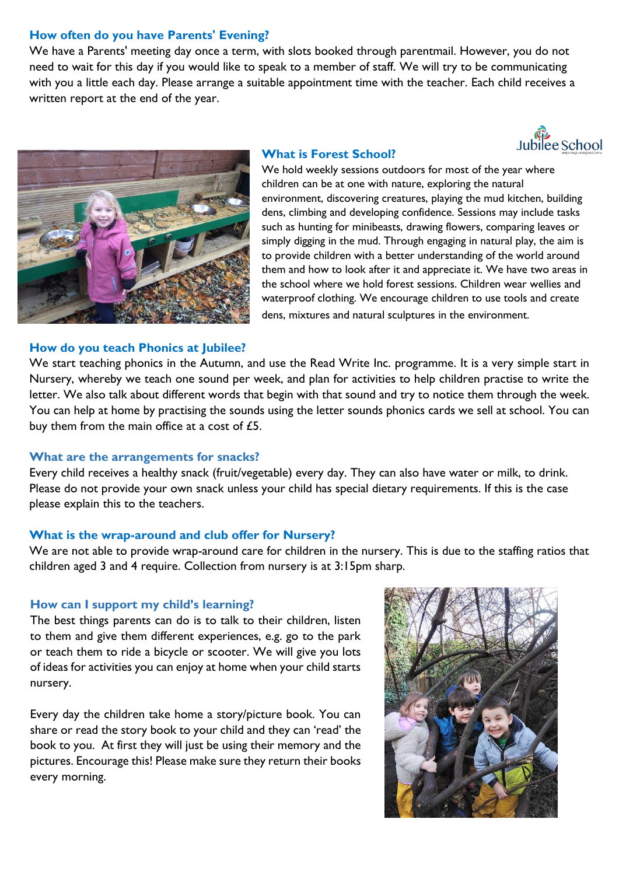## **How often do you have Parents' Evening?**

We have a Parents' meeting day once a term, with slots booked through parentmail. However, you do not need to wait for this day if you would like to speak to a member of staff. We will try to be communicating with you a little each day. Please arrange a suitable appointment time with the teacher. Each child receives a written report at the end of the year.





#### **How do you teach Phonics at Jubilee?**

# **What is Forest School?**

We hold weekly sessions outdoors for most of the year where children can be at one with nature, exploring the natural environment, discovering creatures, playing the mud kitchen, building dens, climbing and developing confidence. Sessions may include tasks such as hunting for minibeasts, drawing flowers, comparing leaves or simply digging in the mud. Through engaging in natural play, the aim is to provide children with a better understanding of the world around them and how to look after it and appreciate it. We have two areas in the school where we hold forest sessions. Children wear wellies and waterproof clothing. We encourage children to use tools and create dens, mixtures and natural sculptures in the environment.

We start teaching phonics in the Autumn, and use the Read Write Inc. programme. It is a very simple start in Nursery, whereby we teach one sound per week, and plan for activities to help children practise to write the letter. We also talk about different words that begin with that sound and try to notice them through the week. You can help at home by practising the sounds using the letter sounds phonics cards we sell at school. You can buy them from the main office at a cost of £5.

#### **What are the arrangements for snacks?**

Every child receives a healthy snack (fruit/vegetable) every day. They can also have water or milk, to drink. Please do not provide your own snack unless your child has special dietary requirements. If this is the case please explain this to the teachers.

#### **What is the wrap-around and club offer for Nursery?**

We are not able to provide wrap-around care for children in the nursery. This is due to the staffing ratios that children aged 3 and 4 require. Collection from nursery is at 3:15pm sharp.

## **How can I support my child's learning?**

The best things parents can do is to talk to their children, listen to them and give them different experiences, e.g. go to the park or teach them to ride a bicycle or scooter. We will give you lots of ideas for activities you can enjoy at home when your child starts nursery.

Every day the children take home a story/picture book. You can share or read the story book to your child and they can 'read' the book to you. At first they will just be using their memory and the pictures. Encourage this! Please make sure they return their books every morning.

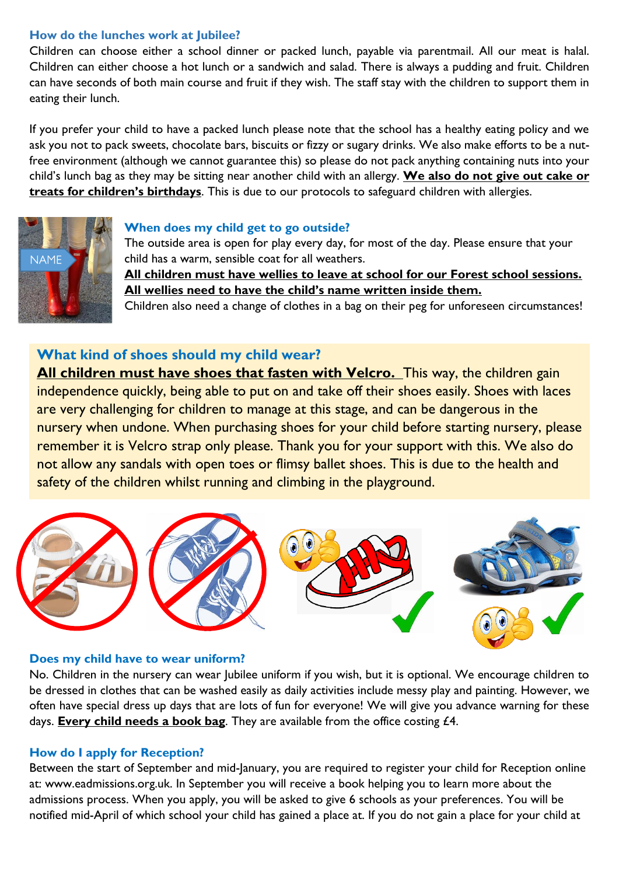# **How do the lunches work at Jubilee?**

Children can choose either a school dinner or packed lunch, payable via parentmail. All our meat is halal. Children can either choose a hot lunch or a sandwich and salad. There is always a pudding and fruit. Children can have seconds of both main course and fruit if they wish. The staff stay with the children to support them in eating their lunch.

If you prefer your child to have a packed lunch please note that the school has a healthy eating policy and we ask you not to pack sweets, chocolate bars, biscuits or fizzy or sugary drinks. We also make efforts to be a nutfree environment (although we cannot guarantee this) so please do not pack anything containing nuts into your child's lunch bag as they may be sitting near another child with an allergy. **We also do not give out cake or treats for children's birthdays**. This is due to our protocols to safeguard children with allergies.



## **When does my child get to go outside?**

The outside area is open for play every day, for most of the day. Please ensure that your child has a warm, sensible coat for all weathers. **All children must have wellies to leave at school for our Forest school sessions. All wellies need to have the child's name written inside them.** Children also need a change of clothes in a bag on their peg for unforeseen circumstances!

# **What kind of shoes should my child wear?**

**All children must have shoes that fasten with Velcro.** This way, the children gain independence quickly, being able to put on and take off their shoes easily. Shoes with laces are very challenging for children to manage at this stage, and can be dangerous in the nursery when undone. When purchasing shoes for your child before starting nursery, please remember it is Velcro strap only please. Thank you for your support with this. We also do not allow any sandals with open toes or flimsy ballet shoes. This is due to the health and safety of the children whilst running and climbing in the playground.



## **Does my child have to wear uniform?**

No. Children in the nursery can wear Jubilee uniform if you wish, but it is optional. We encourage children to be dressed in clothes that can be washed easily as daily activities include messy play and painting. However, we often have special dress up days that are lots of fun for everyone! We will give you advance warning for these days. **Every child needs a book bag**. They are available from the office costing £4.

## **How do I apply for Reception?**

Between the start of September and mid-January, you are required to register your child for Reception online at: www.eadmissions.org.uk. In September you will receive a book helping you to learn more about the admissions process. When you apply, you will be asked to give 6 schools as your preferences. You will be notified mid-April of which school your child has gained a place at. If you do not gain a place for your child at